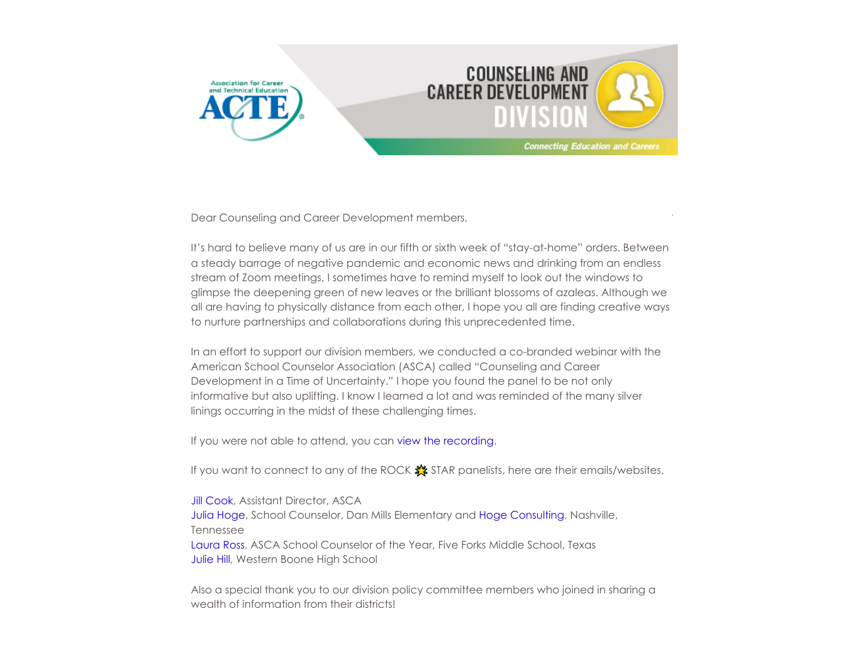



Dear Counseling and Career Development members,

It's hard to believe many of us are in our fifth or sixth week of "stay-at-home" orders. Between a steady barrage of negative pandemic and economic news and drinking from an endless stream of Zoom meetings, I sometimes have to remind myself to look out the windows to glimpse the deepening green of new leaves or the brilliant blossoms of azaleas. Although we all are having to physically distance from each other, I hope you all are finding creative ways to nurture partnerships and collaborations during this unprecedented time.

In an effort to support our division members, we conducted a co-branded webinar with the American School Counselor Association (ASCA) called "Counseling and Career Development in a Time of Uncertainty." I hope you found the panel to be not only informative but also uplifting. I know I learned a lot and was reminded of the many silver linings occurring in the midst of these challenging times.

If you were not able to attend, you can [view the recording.](https://youtu.be/jwuhontdSS8)

If you want to connect to any of the ROCK  $\frac{1}{20}$  STAR panelists, here are their emails/websites.

**[Jill Cook](mailto:jcook@schoolcounselor.org), Assistant Director, ASCA** [Julia Hoge](mailto:Julia.Hoge@mnps.org), School Counselor, Dan Mills Elementary and [Hoge Consulting,](https://hogeconsulting.org/) Nashville, Tennessee [Laura Ross,](mailto:Laura.Ross@gcpsk12.org) ASCA School Counselor of the Year, Five Forks Middle School, Texas [Julie Hill](mailto:Julie.Hill@webo.k12.in.us), Western Boone High School

Also a special thank you to our division policy committee members who joined in sharing a wealth of information from their districts!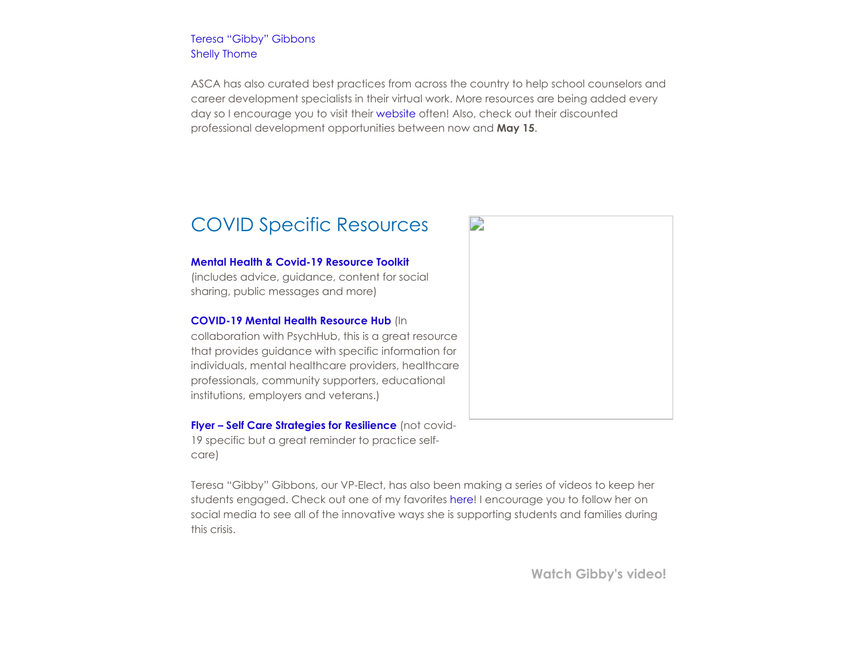[Teresa "Gibby" Gibbons](mailto:tgibbons@rcps.us) [Shelly Thome](mailto:shelly.thome@west-mec.org)

ASCA has also curated best practices from across the country to help school counselors and career development specialists in their virtual work. More resources are being added every day so I encourage you to visit their [website](https://www.schoolcounselor.org/) often! Also, check out their discounted professional development opportunities between now and **May 15**.

### COVID Specific Resources

#### **[Mental Health & Covid-19 Resource Toolkit](https://nam04.safelinks.protection.outlook.com/?url=https%25253A%25252F%25252Fafsp.org%25252Fcampaigns%25252Fcovid-19%25252F&data=02%25257C01%25257Cnicole.a.cobb%252540vanderbilt.edu%25257Cc8b85272e49c45c652e508d7dd740037%25257Cba5a7f39e3be4ab3b45067fa80faecad%25257C0%25257C1%25257C637221362607876930&sdata=T9RiPgnEXGzOMPfB%25252FCirkW8qNg%25252Bam0c2RvPOpWneSR4%25253D&reserved=0)**

(includes advice, guidance, content for social sharing, public messages and more)

### **[COVID-19 Mental Health Resource Hub](https://nam04.safelinks.protection.outlook.com/?url=https%25253A%25252F%25252Fpsychhub.com%25252Fcovid-19%25252F%25253Ffbclid%25253DIwAR1xJH-1wXv2Z7QeBbDvI7AhqiXYqEBNAJ2oniewbOADW3AezFQ-o3es8jA&data=02%25257C01%25257Cnicole.a.cobb%252540vanderbilt.edu%25257Cc8b85272e49c45c652e508d7dd740037%25257Cba5a7f39e3be4ab3b45067fa80faecad%25257C0%25257C1%25257C637221362607876930&sdata=fMEzA%25252Bv%25252B1fjWbfNTEHe4Ys%25252BjadwjaEYL%25252Bj5DEopa2C0%25253D&reserved=0)** (In

collaboration with PsychHub, this is a great resource that provides guidance with specific information for individuals, mental healthcare providers, healthcare professionals, community supporters, educational institutions, employers and veterans.)

**[Flyer – Self Care Strategies for Resilience](https://nam04.safelinks.protection.outlook.com/?url=https%25253A%25252F%25252Fchapterland.org%25252Fwp-content%25252Fuploads%25252Fsites%25252F13%25252F2019%25252F05%25252F13903_AFSP_SelfCareCircleOnePager_m1_v2.pdf&data=02%25257C01%25257Cnicole.a.cobb%252540vanderbilt.edu%25257Cc8b85272e49c45c652e508d7dd740037%25257Cba5a7f39e3be4ab3b45067fa80faecad%25257C0%25257C1%25257C637221362607886922&sdata=IiUGiq3RJpWm%25252BxZupDjElBlQDl5zAuvL%25252FOvTjftA6JA%25253D&reserved=0)** (not covid-19 specific but a great reminder to practice selfcare)

Teresa "Gibby" Gibbons, our VP-Elect, has also been making a series of videos to keep her students engaged. Check out one of my favorites [here!](https://youtu.be/lUxm3_IVkDA) I encourage you to follow her on social media to see all of the innovative ways she is supporting students and families during this crisis.



**[Watch Gibby's video!](https://youtu.be/lUxm3_IVkDA)**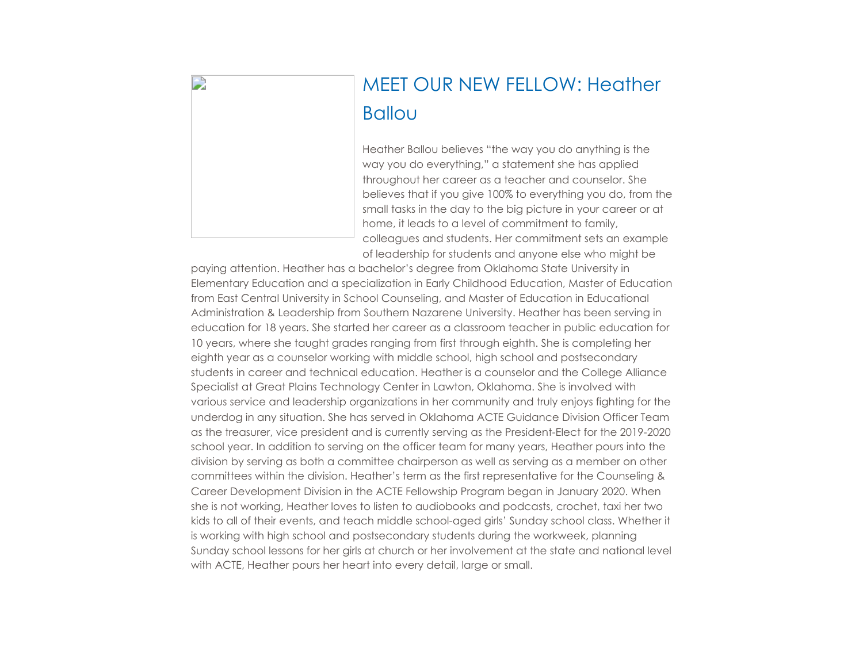

# MEET OUR NEW FELLOW: Heather Ballou

Heather Ballou believes "the way you do anything is the way you do everything," a statement she has applied throughout her career as a teacher and counselor. She believes that if you give 100% to everything you do, from the small tasks in the day to the big picture in your career or at home, it leads to a level of commitment to family, colleagues and students. Her commitment sets an example of leadership for students and anyone else who might be

paying attention. Heather has a bachelor's degree from Oklahoma State University in Elementary Education and a specialization in Early Childhood Education, Master of Education from East Central University in School Counseling, and Master of Education in Educational Administration & Leadership from Southern Nazarene University. Heather has been serving in education for 18 years. She started her career as a classroom teacher in public education for 10 years, where she taught grades ranging from first through eighth. She is completing her eighth year as a counselor working with middle school, high school and postsecondary students in career and technical education. Heather is a counselor and the College Alliance Specialist at Great Plains Technology Center in Lawton, Oklahoma. She is involved with various service and leadership organizations in her community and truly enjoys fighting for the underdog in any situation. She has served in Oklahoma ACTE Guidance Division Officer Team as the treasurer, vice president and is currently serving as the President-Elect for the 2019-2020 school year. In addition to serving on the officer team for many years, Heather pours into the division by serving as both a committee chairperson as well as serving as a member on other committees within the division. Heather's term as the first representative for the Counseling & Career Development Division in the ACTE Fellowship Program began in January 2020. When she is not working, Heather loves to listen to audiobooks and podcasts, crochet, taxi her two kids to all of their events, and teach middle school-aged girls' Sunday school class. Whether it is working with high school and postsecondary students during the workweek, planning Sunday school lessons for her girls at church or her involvement at the state and national level with ACTE, Heather pours her heart into every detail, large or small.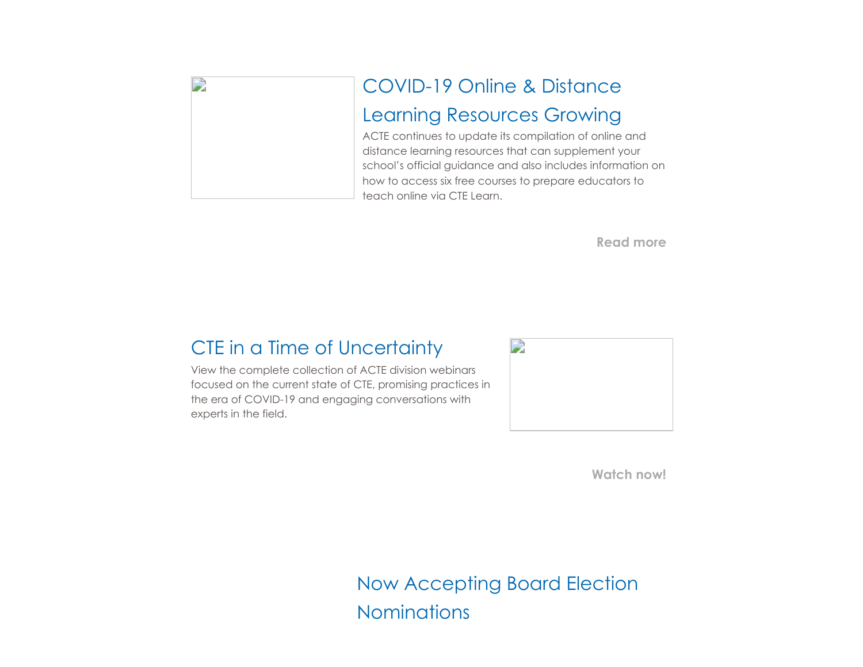

**[Read more](https://www.acteonline.org/professional-development/opportunities/distance-learning-resources/)**

## CTE in a Time of Uncertainty

View the complete collection of ACTE division webinars focused on the current state of CTE, promising practices in the era of COVID-19 and engaging conversations with experts in the field.



**[Watch now!](https://www.acteonline.org/acte-division-webinars-cte-in-a-time-of-uncertainty/)**

Now Accepting Board Election **Nominations**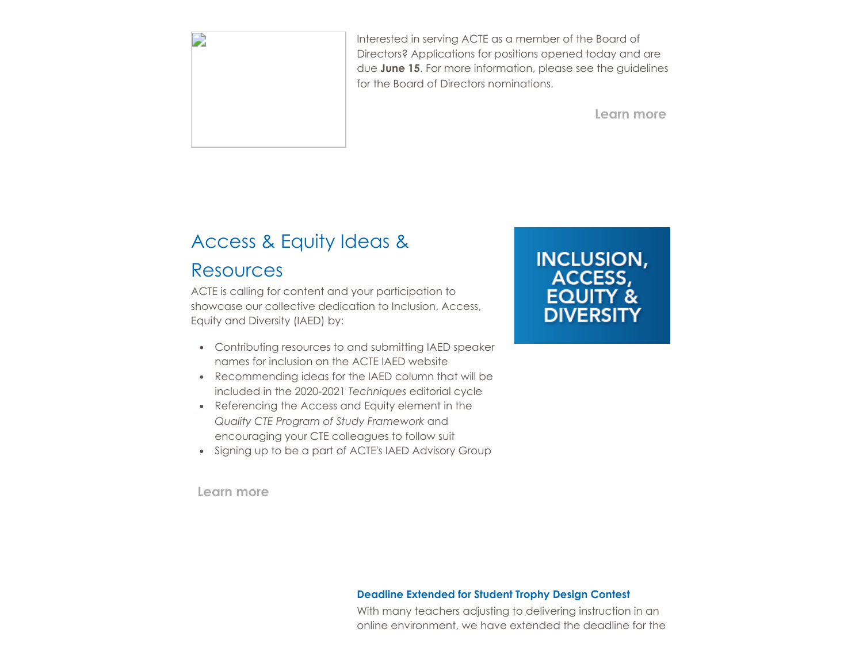

Interested in serving ACTE as a member of the Board of Directors? Applications for positions opened today and are due **June 15**. For more information, please see the guidelines for the Board of Directors nominations.

**[Learn more](https://www.acteonline.org/about/get-involved/board-election/)**

# Access & Equity Ideas &

### Resources

ACTE is calling for content and your participation to showcase our collective dedication to Inclusion, Access, Equity and Diversity (IAED) by:

- Contributing resources to and submitting IAED speaker names for inclusion on the ACTE IAED website
- Recommending ideas for the IAED column that will be included in the 2020-2021 *Techniques* editorial cycle
- Referencing the Access and Equity element in the *Quality CTE Program of Study Framework* and encouraging your CTE colleagues to follow suit
- Signing up to be a part of ACTE's IAED Advisory Group

**[Learn more](https://www.acteonline.org/iaed/)**

**INCLUSION, ACCESS,<br>EQUITY & DIVERSITY** 

### **Deadline Extended for Student Trophy Design Contest**

With many teachers adjusting to delivering instruction in an online environment, we have extended the deadline for the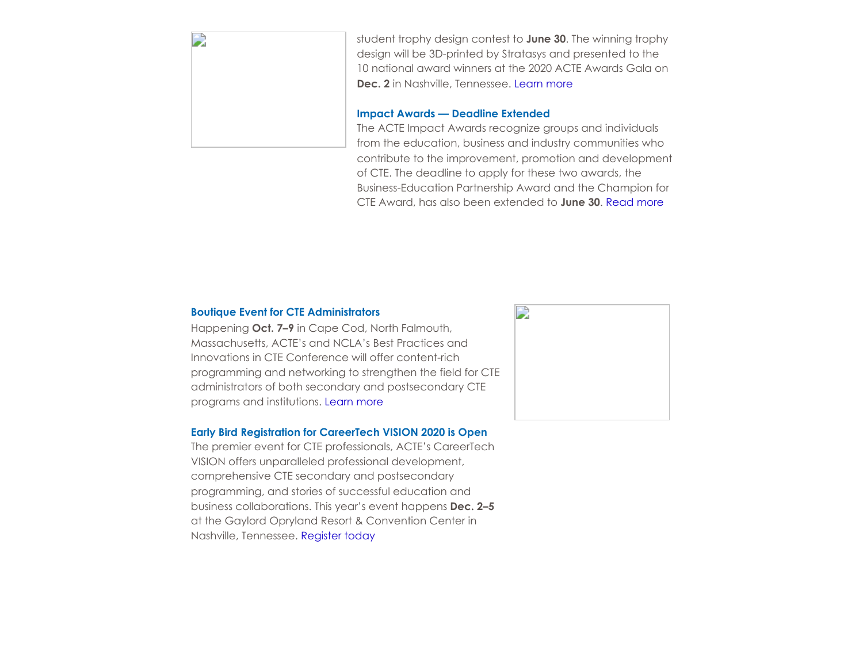

student trophy design contest to **June 30**. The winning trophy design will be 3D-printed by Stratasys and presented to the 10 national award winners at the 2020 ACTE Awards Gala on **Dec. 2** in Nashville, Tennessee. [Learn more](https://www.acteonline.org/professional-development/acte-awards/student-trophy-design-contest/)

### **Impact Awards — Deadline Extended**

The ACTE Impact Awards recognize groups and individuals from the education, business and industry communities who contribute to the improvement, promotion and development of CTE. The deadline to apply for these two awards, the Business-Education Partnership Award and the Champion for CTE Award, has also been extended to **June 30**. [Read more](https://www.acteonline.org/professional-development/acte-awards/acte-impact-awards/)

### **Boutique Event for CTE Administrators**

Happening **Oct. 7–9** in Cape Cod, North Falmouth, Massachusetts, ACTE's and NCLA's Best Practices and Innovations in CTE Conference will offer content-rich programming and networking to strengthen the field for CTE administrators of both secondary and postsecondary CTE programs and institutions. [Learn more](https://www.acteonline.org/bestpractices/)

### **Early Bird Registration for CareerTech VISION 2020 is Open**

The premier event for CTE professionals, ACTE's CareerTech VISION offers unparalleled professional development, comprehensive CTE secondary and postsecondary programming, and stories of successful education and business collaborations. This year's event happens **Dec. 2–5** at the Gaylord Opryland Resort & Convention Center in Nashville, Tennessee. [Register today](https://www.careertechvision.com/index.cfm)